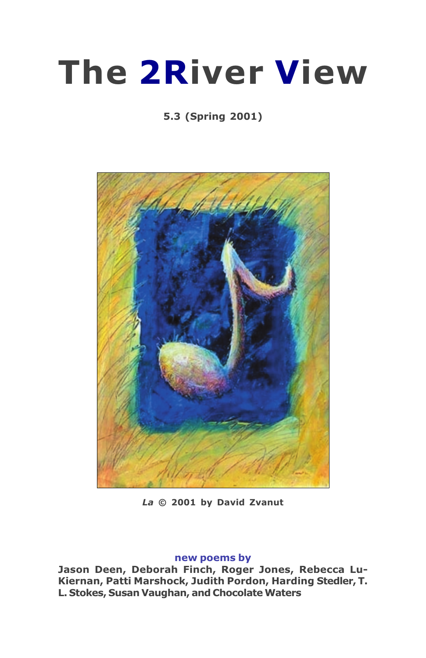# **The 2River View**

## 5.3 (Spring 2001)



La © 2001 by David Zvanut

#### new poems by

Jason Deen, Deborah Finch, Roger Jones, Rebecca Lu-Kiernan, Patti Marshock, Judith Pordon, Harding Stedler, T. L. Stokes, Susan Vaughan, and Chocolate Waters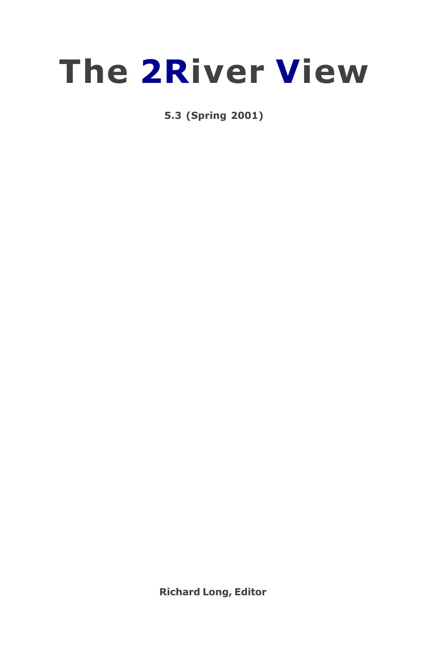

5.3 (Spring 2001)

**Richard Long, Editor**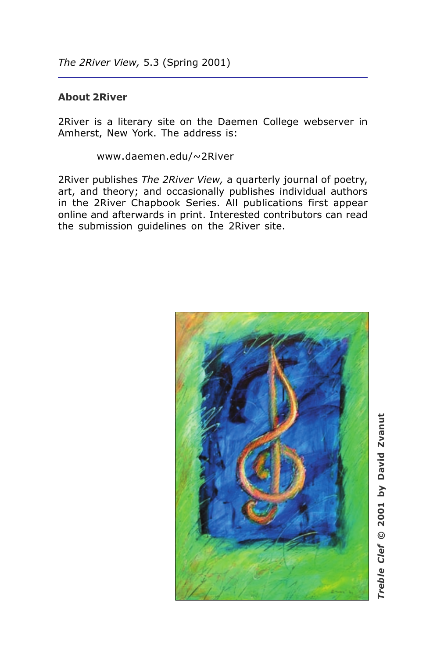## **About 2River**

2River is a literary site on the Daemen College webserver in Amherst, New York. The address is:

www.daemen.edu/~2River

2River publishes The 2River View, a quarterly journal of poetry, art, and theory; and occasionally publishes individual authors in the 2River Chapbook Series. All publications first appear online and afterwards in print. Interested contributors can read the submission quidelines on the 2River site.

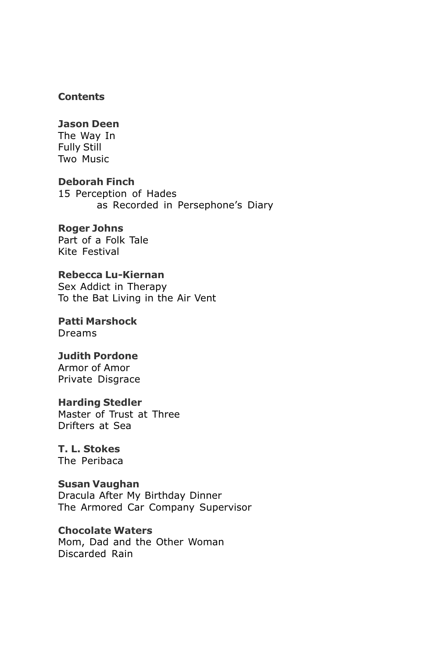#### **Contents**

#### **Jason Deen**

The Way In **Fully Still** Two Music

**Deborah Finch** 15 Perception of Hades as Recorded in Persephone's Diary

## **Roger Johns**

Part of a Folk Tale Kite Festival

## Rebecca Lu-Kiernan

Sex Addict in Therapy To the Bat Living in the Air Vent

**Patti Marshock** Dreams

#### **Judith Pordone** Armor of Amor

Private Disgrace

### **Harding Stedler**

Master of Trust at Three Drifters at Sea

## T. L. Stokes

The Peribaca

#### **Susan Vaughan**

Dracula After My Birthday Dinner The Armored Car Company Supervisor

#### **Chocolate Waters**

Mom, Dad and the Other Woman Discarded Rain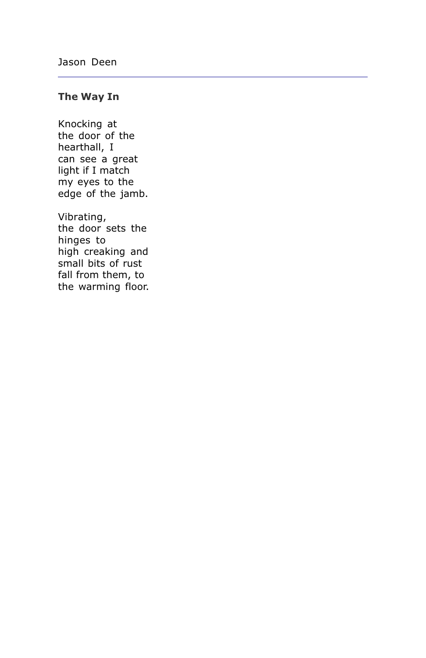## The Way In

Knocking at the door of the hearthall, I can see a great light if I match my eyes to the edge of the jamb.

Vibrating, the door sets the hinges to high creaking and small bits of rust fall from them, to the warming floor.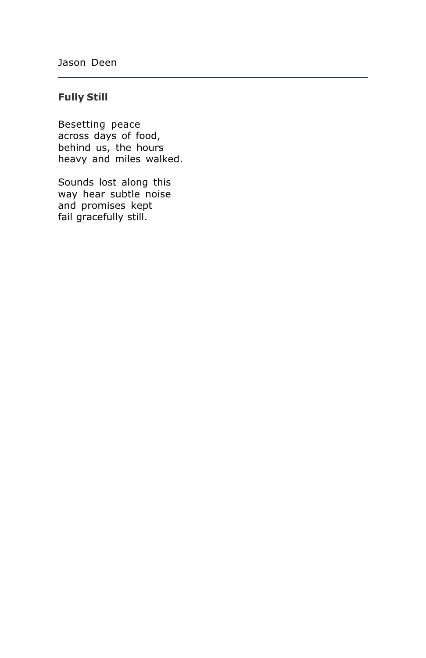## **Fully Still**

Besetting peace across days of food, behind us, the hours heavy and miles walked.

Sounds lost along this way hear subtle noise and promises kept fail gracefully still.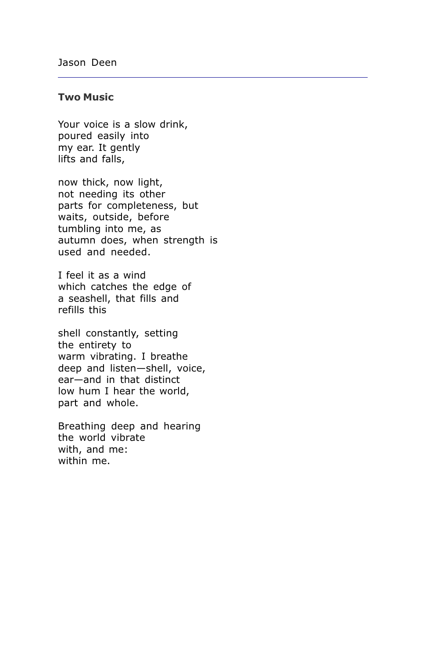## **Two Music**

Your voice is a slow drink, poured easily into my ear. It gently lifts and falls,

now thick, now light, not needing its other parts for completeness, but waits, outside, before tumbling into me, as autumn does, when strength is used and needed.

I feel it as a wind which catches the edge of a seashell, that fills and refills this

shell constantly, setting the entirety to warm vibrating. I breathe deep and listen-shell, voice, ear-and in that distinct low hum I hear the world, part and whole.

Breathing deep and hearing the world vibrate with, and me: within me.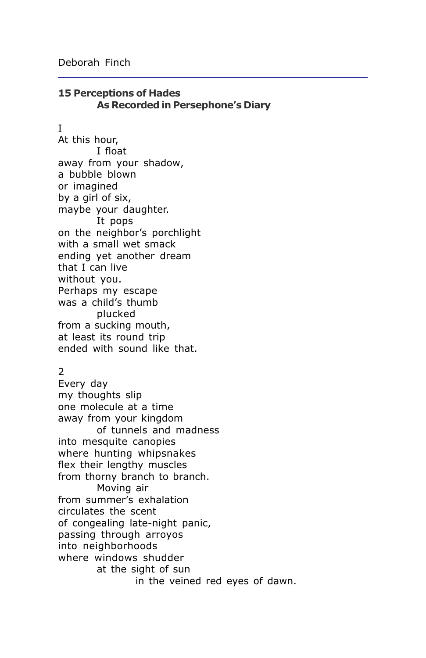## **15 Perceptions of Hades** As Recorded in Persephone's Diary

#### T

At this hour, I float away from your shadow, a bubble blown or imagined by a girl of six, maybe your daughter. It pops on the neighbor's porchlight with a small wet smack ending yet another dream that I can live without you. Perhaps my escape was a child's thumb plucked from a sucking mouth, at least its round trip ended with sound like that.

## $\overline{2}$

Every day my thoughts slip one molecule at a time away from your kingdom of tunnels and madness into mesquite canopies where hunting whipsnakes flex their lengthy muscles from thorny branch to branch. Moving air from summer's exhalation circulates the scent of congealing late-night panic, passing through arroyos into neighborhoods where windows shudder at the sight of sun in the veined red eyes of dawn.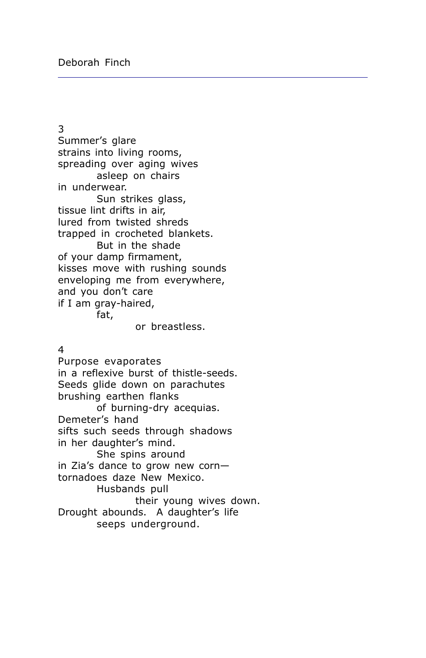3 Summer's glare strains into living rooms, spreading over aging wives asleep on chairs in underwear. Sun strikes glass, tissue lint drifts in air. lured from twisted shreds trapped in crocheted blankets. But in the shade of your damp firmament, kisses move with rushing sounds enveloping me from everywhere, and you don't care if I am gray-haired, fat,

or breastless.

#### 4

Purpose evaporates in a reflexive burst of thistle-seeds. Seeds glide down on parachutes brushing earthen flanks of burning-dry acequias. Demeter's hand sifts such seeds through shadows in her daughter's mind. She spins around in Zia's dance to grow new corntornadoes daze New Mexico. Husbands pull their young wives down. Drought abounds. A daughter's life seeps underground.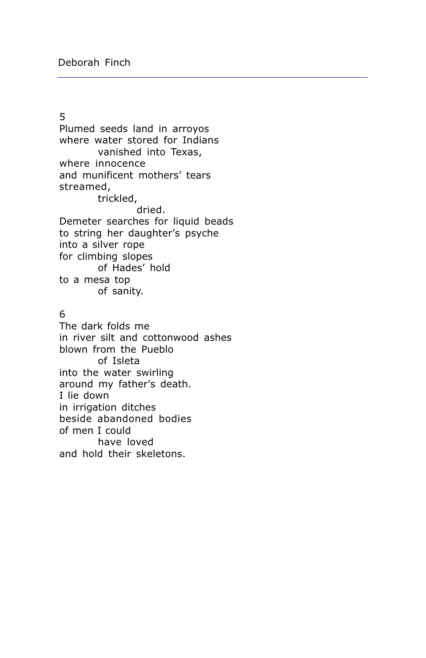## $\overline{5}$

Plumed seeds land in arroyos where water stored for Indians vanished into Texas, where innocence and munificent mothers' tears streamed, trickled, dried. Demeter searches for liquid beads to string her daughter's psyche into a silver rope for climbing slopes of Hades' hold to a mesa top of sanity.

#### 6

The dark folds me in river silt and cottonwood ashes blown from the Pueblo of Isleta into the water swirling around my father's death. I lie down in irrigation ditches beside abandoned bodies of men I could have loved and hold their skeletons.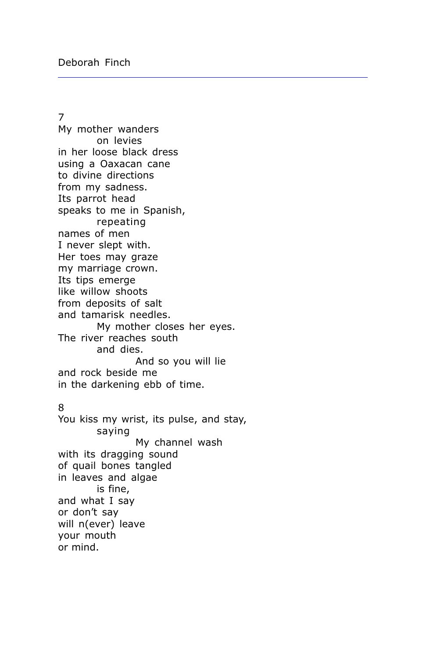$\overline{7}$ 

My mother wanders on levies in her loose black dress using a Oaxacan cane to divine directions from my sadness. Its parrot head speaks to me in Spanish, repeating names of men I never slept with. Her toes may graze my marriage crown. Its tips emerge like willow shoots from deposits of salt and tamarisk needles. My mother closes her eyes. The river reaches south and dies. And so you will lie and rock beside me in the darkening ebb of time.

#### 8

You kiss my wrist, its pulse, and stay, saying My channel wash with its dragging sound of quail bones tangled in leaves and algae is fine, and what I say or don't say will n(ever) leave your mouth or mind.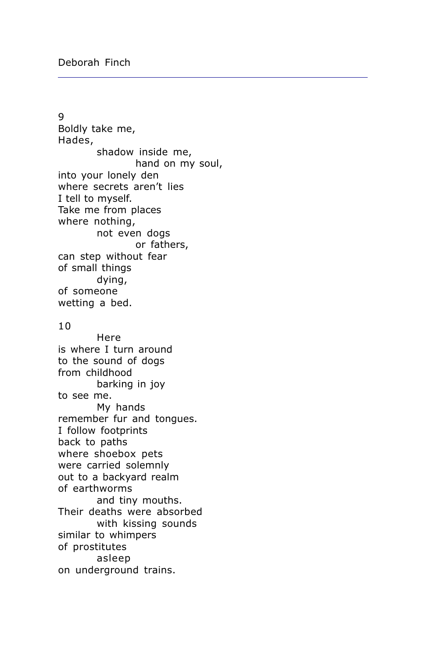$\mathsf{q}$ Boldly take me, Hades, shadow inside me, hand on my soul, into your lonely den where secrets aren't lies I tell to myself. Take me from places where nothing, not even dogs or fathers. can step without fear of small things dying, of someone wetting a bed.

#### $10$

Here is where I turn around to the sound of dogs from childhood barking in joy to see me. My hands remember fur and tongues. I follow footprints back to paths where shoebox pets were carried solemnly out to a backyard realm of earthworms and tiny mouths. Their deaths were absorbed with kissing sounds similar to whimpers of prostitutes asleep on underground trains.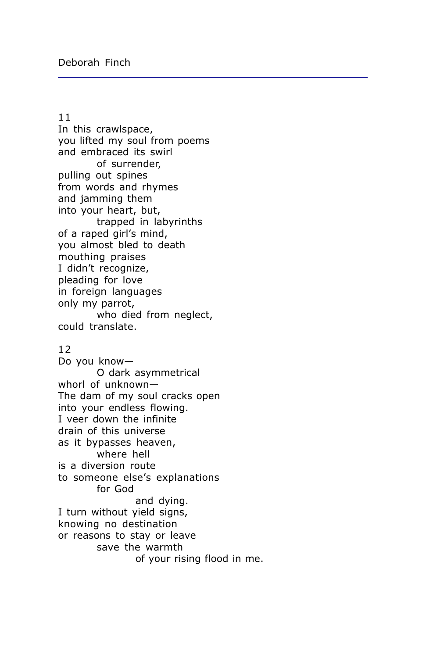#### $11$

In this crawlspace, you lifted my soul from poems and embraced its swirl of surrender, pulling out spines from words and rhymes and jamming them into your heart, but, trapped in labyrinths of a raped girl's mind, you almost bled to death mouthing praises I didn't recognize, pleading for love in foreign languages only my parrot, who died from neglect, could translate.

#### $12$

Do you know-O dark asymmetrical whorl of unknown-The dam of my soul cracks open into your endless flowing. I veer down the infinite drain of this universe as it bypasses heaven, where hell is a diversion route to someone else's explanations for God and dying. I turn without yield signs, knowing no destination or reasons to stay or leave save the warmth of your rising flood in me.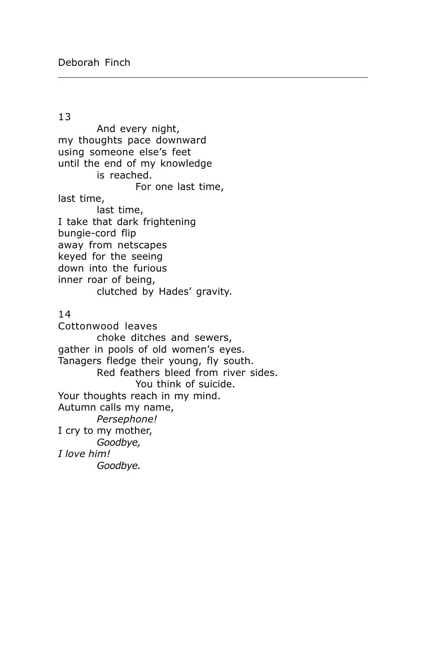#### 13

And every night, my thoughts pace downward using someone else's feet until the end of my knowledge is reached. For one last time, last time. last time, I take that dark frightening bungie-cord flip away from netscapes keyed for the seeing down into the furious inner roar of being, clutched by Hades' gravity.  $14$ Cottonwood leaves choke ditches and sewers, gather in pools of old women's eyes. Tanagers fledge their young, fly south. Red feathers bleed from river sides. You think of suicide. Your thoughts reach in my mind. Autumn calls my name, Persephone! I cry to my mother, Goodbye, I love him! Goodbye.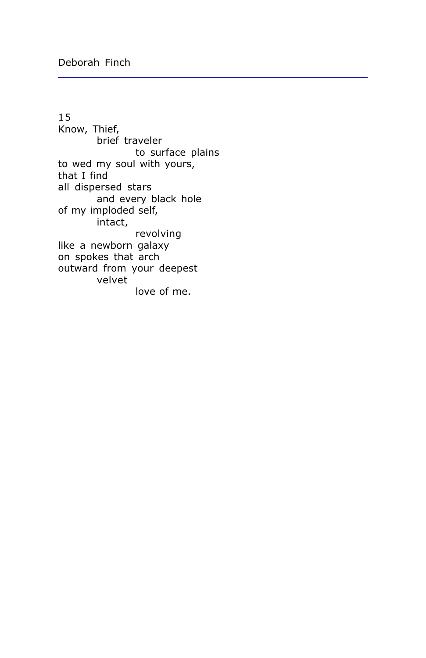15 Know, Thief, brief traveler to surface plains to wed my soul with yours, that I find all dispersed stars and every black hole of my imploded self, intact, revolving like a newborn galaxy on spokes that arch outward from your deepest velvet love of me.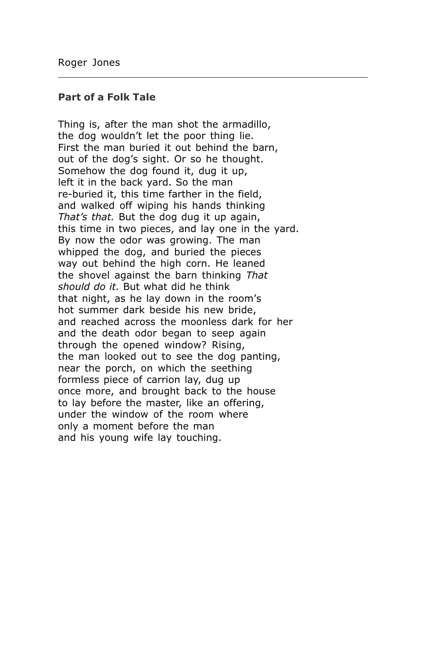#### **Part of a Folk Tale**

Thing is, after the man shot the armadillo, the dog wouldn't let the poor thing lie. First the man buried it out behind the barn, out of the dog's sight. Or so he thought. Somehow the dog found it, dug it up, left it in the back yard. So the man re-buried it, this time farther in the field, and walked off wiping his hands thinking That's that. But the dog dug it up again, this time in two pieces, and lay one in the yard. By now the odor was growing. The man whipped the dog, and buried the pieces way out behind the high corn. He leaned the shovel against the barn thinking That should do it. But what did he think that night, as he lay down in the room's hot summer dark beside his new bride, and reached across the moonless dark for her and the death odor began to seep again through the opened window? Rising, the man looked out to see the dog panting, near the porch, on which the seething formless piece of carrion lay, dug up once more, and brought back to the house to lay before the master, like an offering, under the window of the room where only a moment before the man and his young wife lay touching.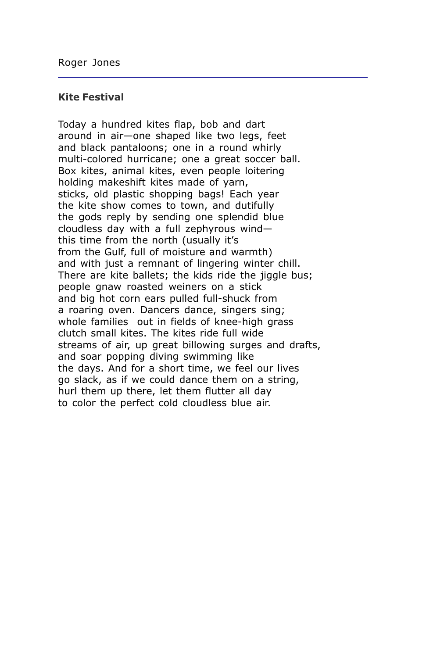#### **Kite Festival**

Today a hundred kites flap, bob and dart around in air-one shaped like two legs, feet and black pantaloons; one in a round whirly multi-colored hurricane; one a great soccer ball. Box kites, animal kites, even people loitering holding makeshift kites made of yarn, sticks, old plastic shopping bags! Each year the kite show comes to town, and dutifully the gods reply by sending one splendid blue cloudless day with a full zephyrous windthis time from the north (usually it's from the Gulf, full of moisture and warmth) and with just a remnant of lingering winter chill. There are kite ballets; the kids ride the jiggle bus; people gnaw roasted weiners on a stick and big hot corn ears pulled full-shuck from a roaring oven. Dancers dance, singers sing; whole families out in fields of knee-high grass clutch small kites. The kites ride full wide streams of air, up great billowing surges and drafts, and soar popping diving swimming like the days. And for a short time, we feel our lives go slack, as if we could dance them on a string, hurl them up there, let them flutter all day to color the perfect cold cloudless blue air.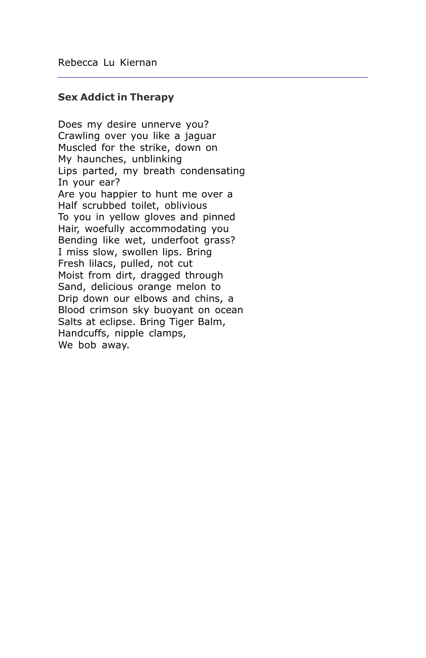#### **Sex Addict in Therapy**

Does my desire unnerve you? Crawling over you like a jaguar Muscled for the strike, down on My haunches, unblinking Lips parted, my breath condensating In your ear? Are you happier to hunt me over a Half scrubbed toilet, oblivious To you in yellow gloves and pinned Hair, woefully accommodating you Bending like wet, underfoot grass? I miss slow, swollen lips. Bring Fresh lilacs, pulled, not cut Moist from dirt, dragged through Sand, delicious orange melon to Drip down our elbows and chins, a Blood crimson sky buoyant on ocean Salts at eclipse. Bring Tiger Balm, Handcuffs, nipple clamps, We bob away.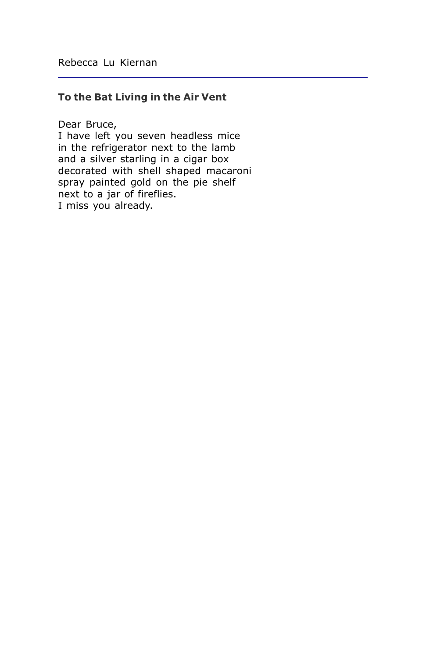## To the Bat Living in the Air Vent

Dear Bruce,

I have left you seven headless mice in the refrigerator next to the lamb and a silver starling in a cigar box decorated with shell shaped macaroni spray painted gold on the pie shelf next to a jar of fireflies. I miss you already.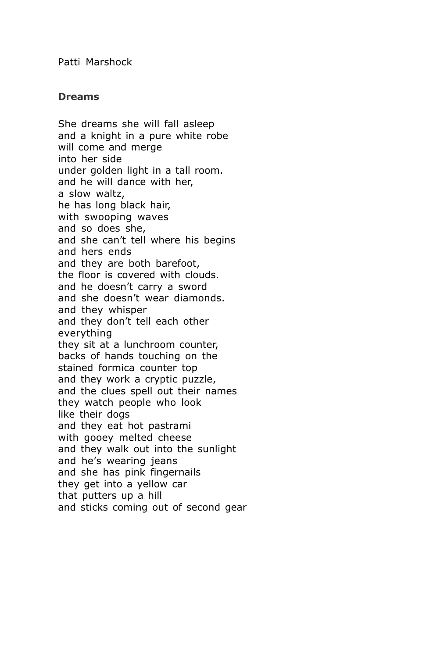#### **Dreams**

She dreams she will fall asleep and a knight in a pure white robe will come and merge into her side under golden light in a tall room. and he will dance with her, a slow waltz. he has long black hair. with swooping waves and so does she, and she can't tell where his begins and hers ends and they are both barefoot, the floor is covered with clouds. and he doesn't carry a sword and she doesn't wear diamonds. and they whisper and they don't tell each other everything they sit at a lunchroom counter, backs of hands touching on the stained formica counter top and they work a cryptic puzzle, and the clues spell out their names they watch people who look like their doas and they eat hot pastrami with gooey melted cheese and they walk out into the sunlight and he's wearing jeans and she has pink fingernails they get into a yellow car that putters up a hill and sticks coming out of second gear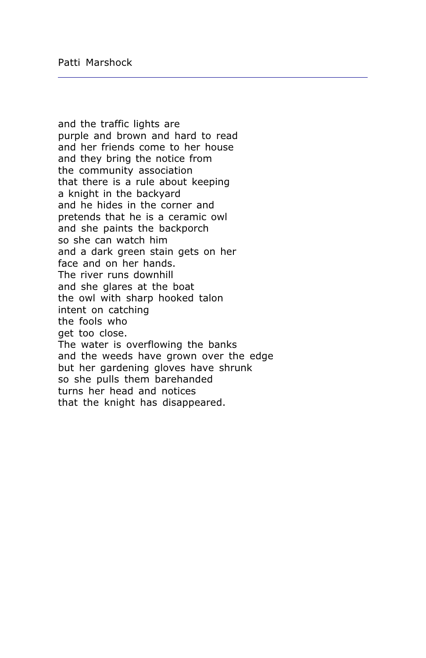and the traffic lights are purple and brown and hard to read and her friends come to her house and they bring the notice from the community association that there is a rule about keeping a knight in the backyard and he hides in the corner and pretends that he is a ceramic owl and she paints the backporch so she can watch him and a dark green stain gets on her face and on her hands. The river runs downhill and she glares at the boat the owl with sharp hooked talon intent on catching the fools who get too close. The water is overflowing the banks and the weeds have grown over the edge but her gardening gloves have shrunk so she pulls them barehanded turns her head and notices that the knight has disappeared.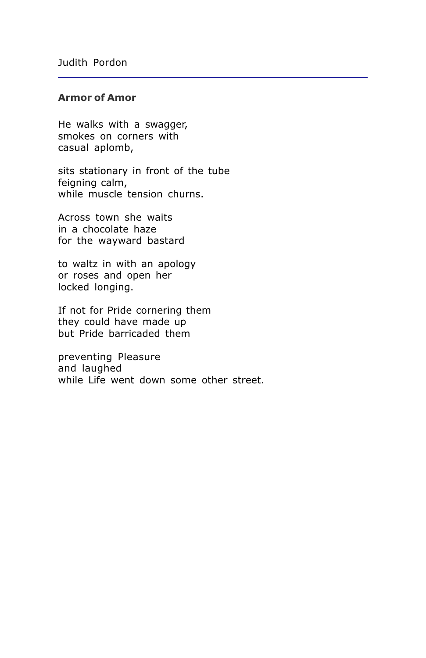## **Armor of Amor**

He walks with a swagger, smokes on corners with casual aplomb,

sits stationary in front of the tube feigning calm, while muscle tension churns.

Across town she waits in a chocolate haze for the wayward bastard

to waltz in with an apology or roses and open her locked longing.

If not for Pride cornering them they could have made up but Pride barricaded them

preventing Pleasure and laughed while Life went down some other street.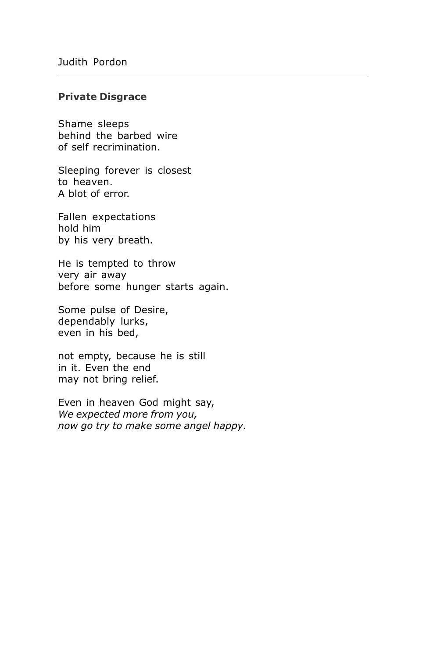#### **Private Disgrace**

Shame sleeps behind the barbed wire of self recrimination.

Sleeping forever is closest to heaven. A blot of error.

Fallen expectations hold him by his very breath.

He is tempted to throw very air away before some hunger starts again.

Some pulse of Desire, dependably lurks, even in his bed,

not empty, because he is still in it. Even the end may not bring relief.

Even in heaven God might say, We expected more from you, now go try to make some angel happy.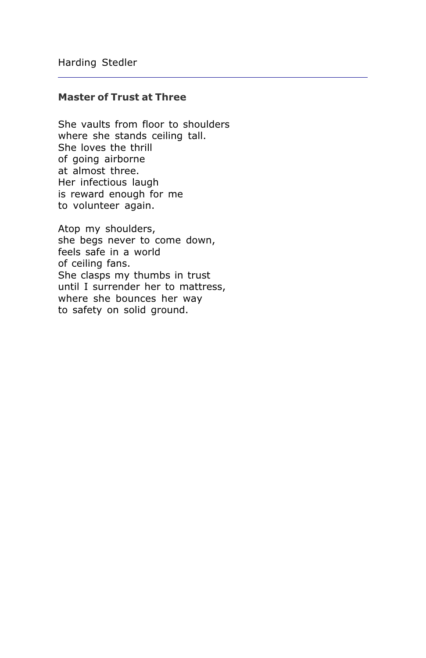## **Master of Trust at Three**

She vaults from floor to shoulders where she stands ceiling tall. She loves the thrill of going airborne at almost three. Her infectious laugh is reward enough for me to volunteer again.

Atop my shoulders, she begs never to come down, feels safe in a world of ceiling fans. She clasps my thumbs in trust until I surrender her to mattress, where she bounces her way to safety on solid ground.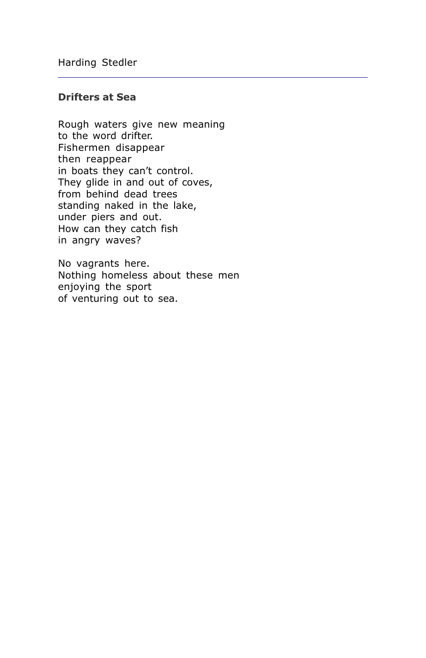## **Drifters at Sea**

Rough waters give new meaning to the word drifter. Fishermen disappear then reappear in boats they can't control. They glide in and out of coves, from behind dead trees standing naked in the lake, under piers and out. How can they catch fish in angry waves?

No vagrants here. Nothing homeless about these men enjoying the sport of venturing out to sea.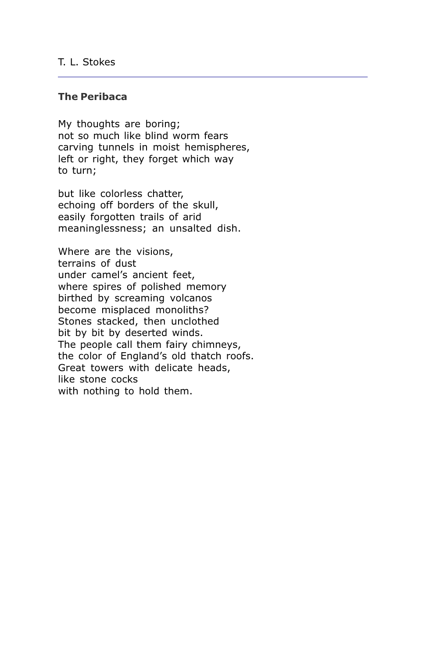## T. L. Stokes

#### **The Peribaca**

My thoughts are boring; not so much like blind worm fears carving tunnels in moist hemispheres, left or right, they forget which way to turn;

but like colorless chatter, echoing off borders of the skull, easily forgotten trails of arid meaninglessness; an unsalted dish.

Where are the visions, terrains of dust under camel's ancient feet, where spires of polished memory birthed by screaming volcanos become misplaced monoliths? Stones stacked, then unclothed bit by bit by deserted winds. The people call them fairy chimneys, the color of England's old thatch roofs. Great towers with delicate heads, like stone cocks with nothing to hold them.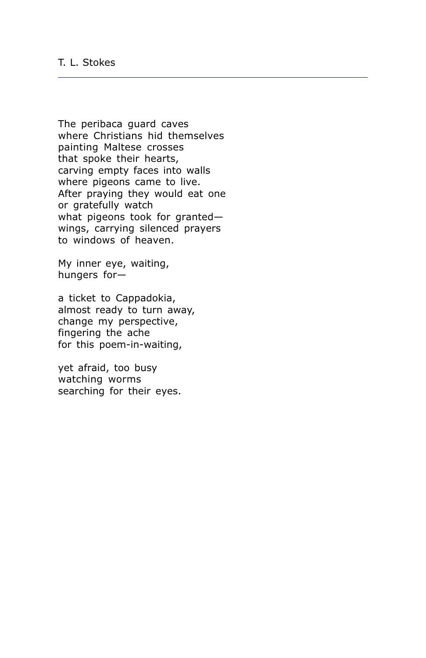The peribaca quard caves where Christians hid themselves painting Maltese crosses that spoke their hearts, carving empty faces into walls where pigeons came to live. After praying they would eat one or gratefully watch what pigeons took for grantedwings, carrying silenced prayers to windows of heaven.

My inner eye, waiting, hungers for-

a ticket to Cappadokia, almost ready to turn away, change my perspective, fingering the ache for this poem-in-waiting,

yet afraid, too busy watching worms searching for their eyes.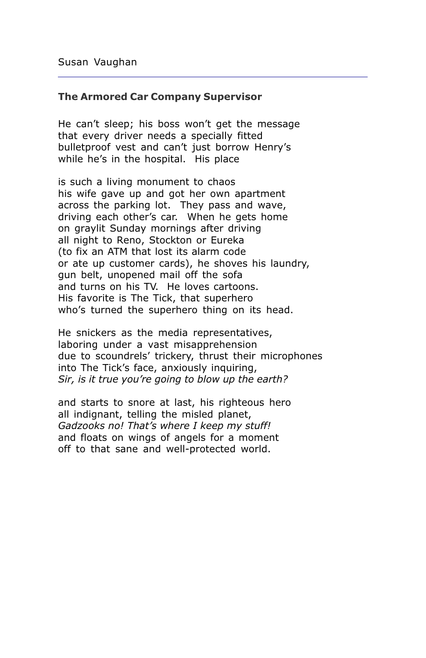#### **The Armored Car Company Supervisor**

He can't sleep; his boss won't get the message that every driver needs a specially fitted bulletproof vest and can't just borrow Henry's while he's in the hospital. His place

is such a living monument to chaos his wife gave up and got her own apartment across the parking lot. They pass and wave, driving each other's car. When he gets home on graylit Sunday mornings after driving all night to Reno, Stockton or Eureka (to fix an ATM that lost its alarm code or ate up customer cards), he shoves his laundry, gun belt, unopened mail off the sofa and turns on his TV. He loves cartoons. His favorite is The Tick, that superhero who's turned the superhero thing on its head.

He snickers as the media representatives, laboring under a vast misapprehension due to scoundrels' trickery, thrust their microphones into The Tick's face, anxiously inquiring, Sir, is it true you're going to blow up the earth?

and starts to snore at last, his righteous hero all indignant, telling the misled planet, Gadzooks no! That's where I keep my stuff! and floats on wings of angels for a moment off to that sane and well-protected world.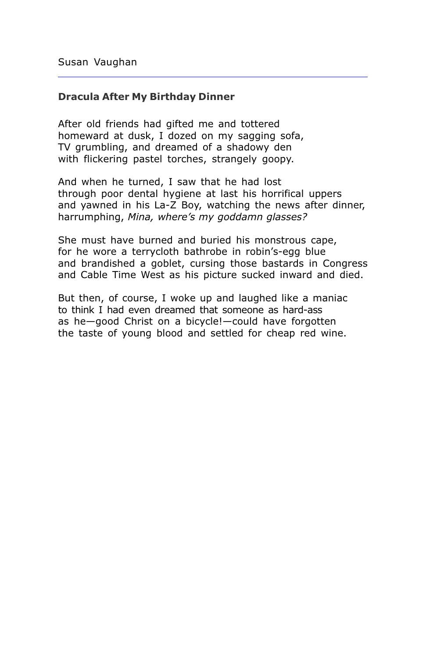## **Dracula After My Birthday Dinner**

After old friends had gifted me and tottered homeward at dusk, I dozed on my sagging sofa, TV grumbling, and dreamed of a shadowy den with flickering pastel torches, strangely goopy.

And when he turned, I saw that he had lost through poor dental hygiene at last his horrifical uppers and yawned in his La-Z Boy, watching the news after dinner, harrumphing, Mina, where's my goddamn glasses?

She must have burned and buried his monstrous cape, for he wore a terrycloth bathrobe in robin's-egg blue and brandished a goblet, cursing those bastards in Congress and Cable Time West as his picture sucked inward and died.

But then, of course, I woke up and laughed like a maniac to think I had even dreamed that someone as hard-ass as he-good Christ on a bicycle!-could have forgotten the taste of young blood and settled for cheap red wine.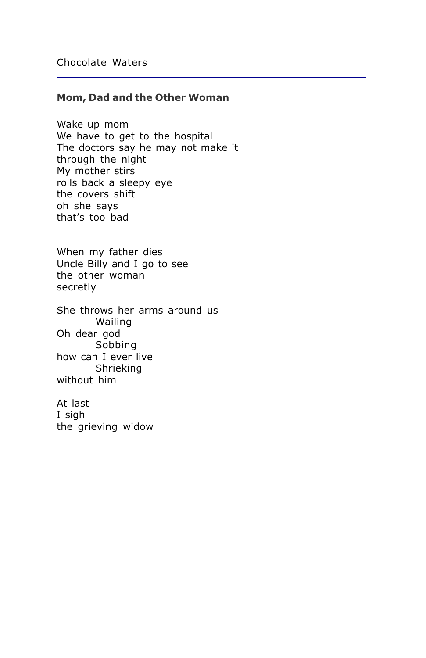#### Mom, Dad and the Other Woman

Wake up mom We have to get to the hospital The doctors say he may not make it through the night My mother stirs rolls back a sleepy eye the covers shift oh she says that's too bad

When my father dies Uncle Billy and I go to see the other woman secretly

She throws her arms around us Wailing Oh dear god Sobbing how can I ever live Shrieking without him

At last I sigh the grieving widow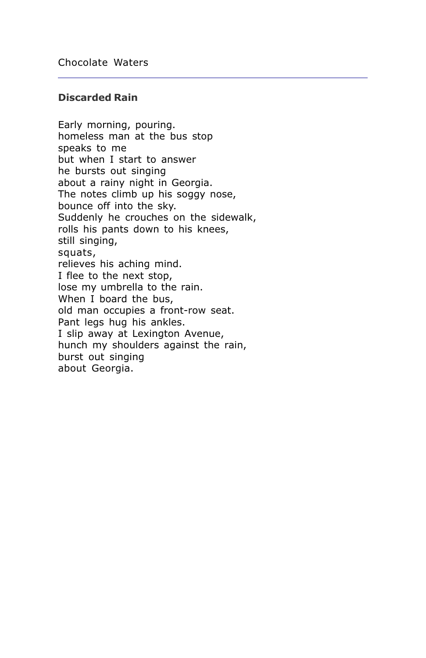## **Discarded Rain**

Early morning, pouring. homeless man at the bus stop speaks to me but when I start to answer he bursts out singing about a rainy night in Georgia. The notes climb up his soggy nose, bounce off into the sky. Suddenly he crouches on the sidewalk, rolls his pants down to his knees, still singing, squats, relieves his aching mind. I flee to the next stop, lose my umbrella to the rain. When I board the bus, old man occupies a front-row seat. Pant legs hug his ankles. I slip away at Lexington Avenue, hunch my shoulders against the rain, burst out singing about Georgia.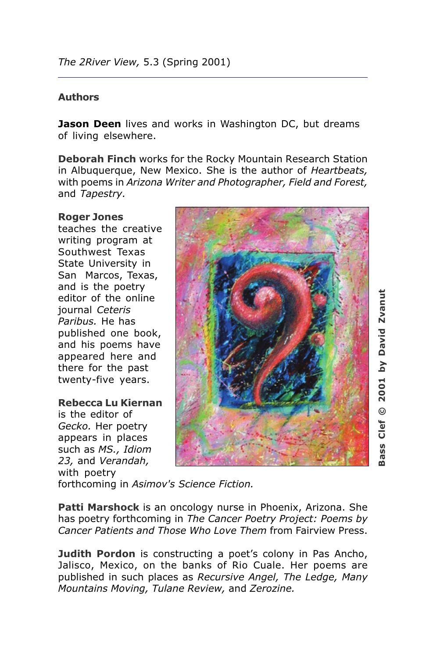## **Authors**

Jason Deen lives and works in Washington DC, but dreams of living elsewhere.

Deborah Finch works for the Rocky Mountain Research Station in Albuquerque, New Mexico. She is the author of Heartbeats, with poems in Arizona Writer and Photographer, Field and Forest, and Tapestry.

## **Roger Jones**

teaches the creative writing program at Southwest Texas State University in San Marcos, Texas, and is the poetry editor of the online journal Ceteris Paribus. He has published one book, and his poems have appeared here and there for the past twenty-five years.

#### Rebecca Lu Kiernan

is the editor of Gecko. Her poetry appears in places such as MS., Idiom 23, and Verandah, with poetry



by David Zvanut 2001  $\odot$  $Clef$ <u>ဖ</u> ö.

forthcoming in Asimov's Science Fiction.

Patti Marshock is an oncology nurse in Phoenix, Arizona. She has poetry forthcoming in The Cancer Poetry Project: Poems by Cancer Patients and Those Who Love Them from Fairview Press.

**Judith Pordon** is constructing a poet's colony in Pas Ancho, Jalisco, Mexico, on the banks of Rio Cuale. Her poems are published in such places as Recursive Angel, The Ledge, Many Mountains Moving, Tulane Review, and Zerozine.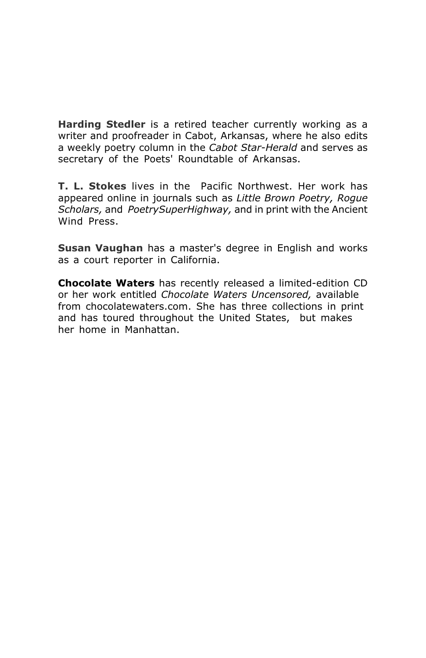Harding Stedler is a retired teacher currently working as a writer and proofreader in Cabot, Arkansas, where he also edits a weekly poetry column in the Cabot Star-Herald and serves as secretary of the Poets' Roundtable of Arkansas.

T. L. Stokes lives in the Pacific Northwest. Her work has appeared online in journals such as Little Brown Poetry, Rogue Scholars, and PoetrySuperHighway, and in print with the Ancient Wind Press.

Susan Vaughan has a master's degree in English and works as a court reporter in California.

Chocolate Waters has recently released a limited-edition CD or her work entitled Chocolate Waters Uncensored, available from chocolatewaters.com. She has three collections in print and has toured throughout the United States, but makes her home in Manhattan.